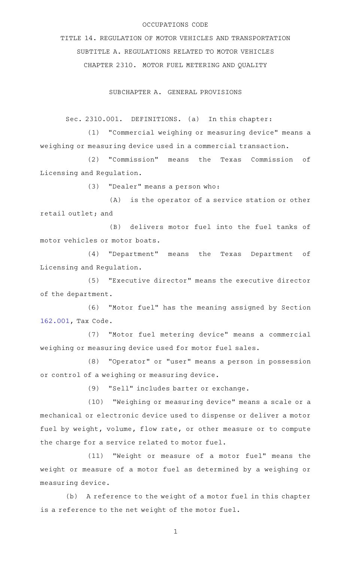## OCCUPATIONS CODE

TITLE 14. REGULATION OF MOTOR VEHICLES AND TRANSPORTATION SUBTITLE A. REGULATIONS RELATED TO MOTOR VEHICLES CHAPTER 2310. MOTOR FUEL METERING AND QUALITY

SUBCHAPTER A. GENERAL PROVISIONS

Sec. 2310.001. DEFINITIONS. (a) In this chapter:

(1) "Commercial weighing or measuring device" means a weighing or measuring device used in a commercial transaction.

(2) "Commission" means the Texas Commission of Licensing and Regulation.

(3) "Dealer" means a person who:

(A) is the operator of a service station or other retail outlet; and

(B) delivers motor fuel into the fuel tanks of motor vehicles or motor boats.

(4) "Department" means the Texas Department of Licensing and Regulation.

(5) "Executive director" means the executive director of the department.

(6) "Motor fuel" has the meaning assigned by Section [162.001,](http://www.statutes.legis.state.tx.us/GetStatute.aspx?Code=TX&Value=162.001) Tax Code.

(7) "Motor fuel metering device" means a commercial weighing or measuring device used for motor fuel sales.

(8) "Operator" or "user" means a person in possession or control of a weighing or measuring device.

(9) "Sell" includes barter or exchange.

(10) "Weighing or measuring device" means a scale or a mechanical or electronic device used to dispense or deliver a motor fuel by weight, volume, flow rate, or other measure or to compute the charge for a service related to motor fuel.

(11) "Weight or measure of a motor fuel" means the weight or measure of a motor fuel as determined by a weighing or measuring device.

(b) A reference to the weight of a motor fuel in this chapter is a reference to the net weight of the motor fuel.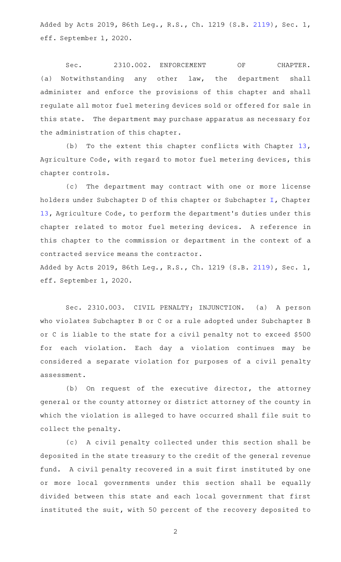Added by Acts 2019, 86th Leg., R.S., Ch. 1219 (S.B. [2119\)](http://www.legis.state.tx.us/tlodocs/86R/billtext/html/SB02119F.HTM), Sec. 1, eff. September 1, 2020.

Sec. 2310.002. ENFORCEMENT OF CHAPTER. (a) Notwithstanding any other law, the department shall administer and enforce the provisions of this chapter and shall regulate all motor fuel metering devices sold or offered for sale in this state. The department may purchase apparatus as necessary for the administration of this chapter.

(b) To the extent this chapter conflicts with Chapter  $13$ , Agriculture Code, with regard to motor fuel metering devices, this chapter controls.

(c) The department may contract with one or more license holders under Subchapter D of this chapter or Subchapter [I](http://www.statutes.legis.state.tx.us/GetStatute.aspx?Code=AG&Value=13.451), Chapter [13](http://www.statutes.legis.state.tx.us/GetStatute.aspx?Code=AG&Value=13), Agriculture Code, to perform the department 's duties under this chapter related to motor fuel metering devices. A reference in this chapter to the commission or department in the context of a contracted service means the contractor.

Added by Acts 2019, 86th Leg., R.S., Ch. 1219 (S.B. [2119\)](http://www.legis.state.tx.us/tlodocs/86R/billtext/html/SB02119F.HTM), Sec. 1, eff. September 1, 2020.

Sec. 2310.003. CIVIL PENALTY; INJUNCTION. (a) A person who violates Subchapter B or C or a rule adopted under Subchapter B or C is liable to the state for a civil penalty not to exceed \$500 for each violation. Each day a violation continues may be considered a separate violation for purposes of a civil penalty assessment.

(b) On request of the executive director, the attorney general or the county attorney or district attorney of the county in which the violation is alleged to have occurred shall file suit to collect the penalty.

(c) A civil penalty collected under this section shall be deposited in the state treasury to the credit of the general revenue fund. A civil penalty recovered in a suit first instituted by one or more local governments under this section shall be equally divided between this state and each local government that first instituted the suit, with 50 percent of the recovery deposited to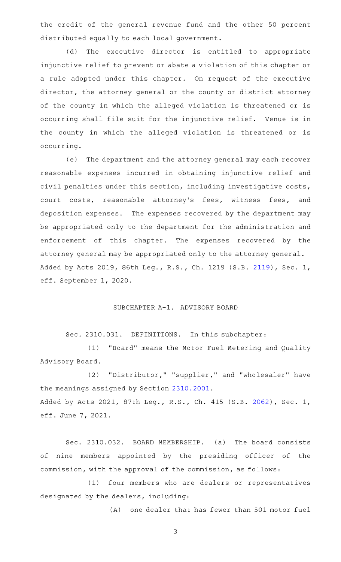the credit of the general revenue fund and the other 50 percent distributed equally to each local government.

(d) The executive director is entitled to appropriate injunctive relief to prevent or abate a violation of this chapter or a rule adopted under this chapter. On request of the executive director, the attorney general or the county or district attorney of the county in which the alleged violation is threatened or is occurring shall file suit for the injunctive relief. Venue is in the county in which the alleged violation is threatened or is occurring.

(e) The department and the attorney general may each recover reasonable expenses incurred in obtaining injunctive relief and civil penalties under this section, including investigative costs, court costs, reasonable attorney 's fees, witness fees, and deposition expenses. The expenses recovered by the department may be appropriated only to the department for the administration and enforcement of this chapter. The expenses recovered by the attorney general may be appropriated only to the attorney general. Added by Acts 2019, 86th Leg., R.S., Ch. 1219 (S.B. [2119\)](http://www.legis.state.tx.us/tlodocs/86R/billtext/html/SB02119F.HTM), Sec. 1, eff. September 1, 2020.

## SUBCHAPTER A-1. ADVISORY BOARD

Sec. 2310.031. DEFINITIONS. In this subchapter:

(1) "Board" means the Motor Fuel Metering and Quality Advisory Board.

(2) "Distributor," "supplier," and "wholesaler" have the meanings assigned by Section [2310.2001](http://www.statutes.legis.state.tx.us/GetStatute.aspx?Code=OC&Value=2310.2001). Added by Acts 2021, 87th Leg., R.S., Ch. 415 (S.B. [2062](http://www.legis.state.tx.us/tlodocs/87R/billtext/html/SB02062F.HTM)), Sec. 1, eff. June 7, 2021.

Sec. 2310.032. BOARD MEMBERSHIP. (a) The board consists of nine members appointed by the presiding officer of the commission, with the approval of the commission, as follows:

(1) four members who are dealers or representatives designated by the dealers, including:

(A) one dealer that has fewer than 501 motor fuel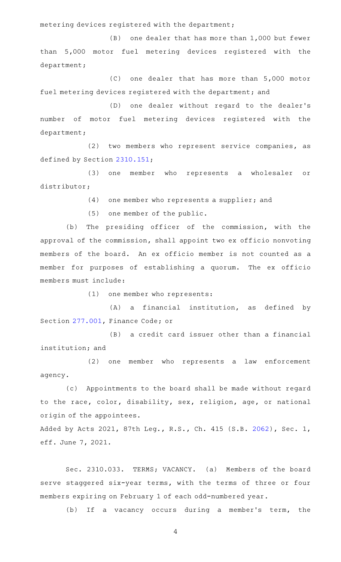metering devices registered with the department;

 $(B)$  one dealer that has more than 1,000 but fewer than 5,000 motor fuel metering devices registered with the department;

 $(C)$  one dealer that has more than 5,000 motor fuel metering devices registered with the department; and

(D) one dealer without regard to the dealer's number of motor fuel metering devices registered with the department;

 $(2)$  two members who represent service companies, as defined by Section [2310.151](http://www.statutes.legis.state.tx.us/GetStatute.aspx?Code=OC&Value=2310.151);

(3) one member who represents a wholesaler or distributor;

(4) one member who represents a supplier; and

 $(5)$  one member of the public.

(b) The presiding officer of the commission, with the approval of the commission, shall appoint two ex officio nonvoting members of the board. An ex officio member is not counted as a member for purposes of establishing a quorum. The ex officio members must include:

(1) one member who represents:

(A) a financial institution, as defined by Section [277.001,](http://www.statutes.legis.state.tx.us/GetStatute.aspx?Code=FI&Value=277.001) Finance Code; or

 $(B)$  a credit card issuer other than a financial institution; and

(2) one member who represents a law enforcement agency.

(c) Appointments to the board shall be made without regard to the race, color, disability, sex, religion, age, or national origin of the appointees.

Added by Acts 2021, 87th Leg., R.S., Ch. 415 (S.B. [2062](http://www.legis.state.tx.us/tlodocs/87R/billtext/html/SB02062F.HTM)), Sec. 1, eff. June 7, 2021.

Sec. 2310.033. TERMS; VACANCY. (a) Members of the board serve staggered six-year terms, with the terms of three or four members expiring on February 1 of each odd-numbered year.

(b) If a vacancy occurs during a member's term, the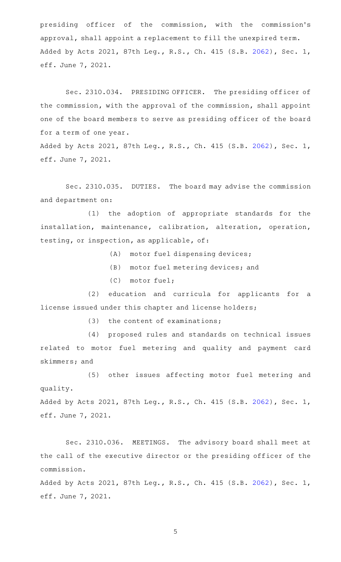presiding officer of the commission, with the commission 's approval, shall appoint a replacement to fill the unexpired term. Added by Acts 2021, 87th Leg., R.S., Ch. 415 (S.B. [2062](http://www.legis.state.tx.us/tlodocs/87R/billtext/html/SB02062F.HTM)), Sec. 1, eff. June 7, 2021.

Sec. 2310.034. PRESIDING OFFICER. The presiding officer of the commission, with the approval of the commission, shall appoint one of the board members to serve as presiding officer of the board for a term of one year.

Added by Acts 2021, 87th Leg., R.S., Ch. 415 (S.B. [2062](http://www.legis.state.tx.us/tlodocs/87R/billtext/html/SB02062F.HTM)), Sec. 1, eff. June 7, 2021.

Sec. 2310.035. DUTIES. The board may advise the commission and department on:

(1) the adoption of appropriate standards for the installation, maintenance, calibration, alteration, operation, testing, or inspection, as applicable, of:

(A) motor fuel dispensing devices;

- (B) motor fuel metering devices; and
- (C) motor fuel;

(2) education and curricula for applicants for a license issued under this chapter and license holders;

(3) the content of examinations;

(4) proposed rules and standards on technical issues related to motor fuel metering and quality and payment card skimmers; and

(5) other issues affecting motor fuel metering and quality. Added by Acts 2021, 87th Leg., R.S., Ch. 415 (S.B. [2062](http://www.legis.state.tx.us/tlodocs/87R/billtext/html/SB02062F.HTM)), Sec. 1,

eff. June 7, 2021.

Sec. 2310.036. MEETINGS. The advisory board shall meet at the call of the executive director or the presiding officer of the commission.

Added by Acts 2021, 87th Leg., R.S., Ch. 415 (S.B. [2062](http://www.legis.state.tx.us/tlodocs/87R/billtext/html/SB02062F.HTM)), Sec. 1, eff. June 7, 2021.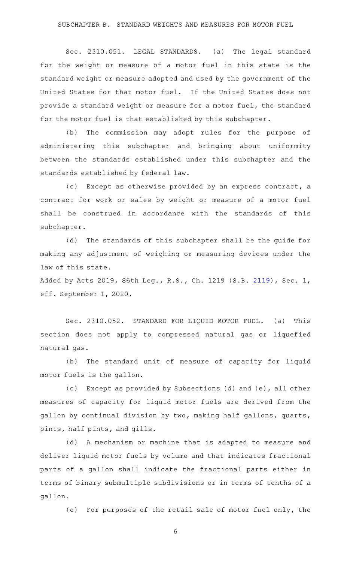Sec. 2310.051. LEGAL STANDARDS. (a) The legal standard for the weight or measure of a motor fuel in this state is the standard weight or measure adopted and used by the government of the United States for that motor fuel. If the United States does not provide a standard weight or measure for a motor fuel, the standard for the motor fuel is that established by this subchapter.

(b) The commission may adopt rules for the purpose of administering this subchapter and bringing about uniformity between the standards established under this subchapter and the standards established by federal law.

(c) Except as otherwise provided by an express contract, a contract for work or sales by weight or measure of a motor fuel shall be construed in accordance with the standards of this subchapter.

(d) The standards of this subchapter shall be the guide for making any adjustment of weighing or measuring devices under the law of this state.

Added by Acts 2019, 86th Leg., R.S., Ch. 1219 (S.B. [2119\)](http://www.legis.state.tx.us/tlodocs/86R/billtext/html/SB02119F.HTM), Sec. 1, eff. September 1, 2020.

Sec. 2310.052. STANDARD FOR LIQUID MOTOR FUEL. (a) This section does not apply to compressed natural gas or liquefied natural gas.

(b) The standard unit of measure of capacity for liquid motor fuels is the gallon.

(c) Except as provided by Subsections (d) and (e), all other measures of capacity for liquid motor fuels are derived from the gallon by continual division by two, making half gallons, quarts, pints, half pints, and gills.

(d) A mechanism or machine that is adapted to measure and deliver liquid motor fuels by volume and that indicates fractional parts of a gallon shall indicate the fractional parts either in terms of binary submultiple subdivisions or in terms of tenths of a gallon.

(e) For purposes of the retail sale of motor fuel only, the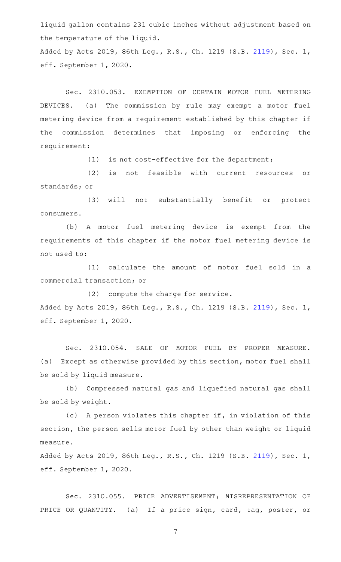liquid gallon contains 231 cubic inches without adjustment based on the temperature of the liquid.

Added by Acts 2019, 86th Leg., R.S., Ch. 1219 (S.B. [2119\)](http://www.legis.state.tx.us/tlodocs/86R/billtext/html/SB02119F.HTM), Sec. 1, eff. September 1, 2020.

Sec. 2310.053. EXEMPTION OF CERTAIN MOTOR FUEL METERING DEVICES. (a) The commission by rule may exempt a motor fuel metering device from a requirement established by this chapter if the commission determines that imposing or enforcing the requirement:

(1) is not cost-effective for the department;

(2) is not feasible with current resources or standards; or

(3) will not substantially benefit or protect consumers.

(b) A motor fuel metering device is exempt from the requirements of this chapter if the motor fuel metering device is not used to:

(1) calculate the amount of motor fuel sold in a commercial transaction; or

(2) compute the charge for service. Added by Acts 2019, 86th Leg., R.S., Ch. 1219 (S.B. [2119\)](http://www.legis.state.tx.us/tlodocs/86R/billtext/html/SB02119F.HTM), Sec. 1, eff. September 1, 2020.

Sec. 2310.054. SALE OF MOTOR FUEL BY PROPER MEASURE. (a) Except as otherwise provided by this section, motor fuel shall be sold by liquid measure.

(b) Compressed natural gas and liquefied natural gas shall be sold by weight.

 $(c)$  A person violates this chapter if, in violation of this section, the person sells motor fuel by other than weight or liquid measure.

Added by Acts 2019, 86th Leg., R.S., Ch. 1219 (S.B. [2119\)](http://www.legis.state.tx.us/tlodocs/86R/billtext/html/SB02119F.HTM), Sec. 1, eff. September 1, 2020.

Sec. 2310.055. PRICE ADVERTISEMENT; MISREPRESENTATION OF PRICE OR QUANTITY. (a) If a price sign, card, tag, poster, or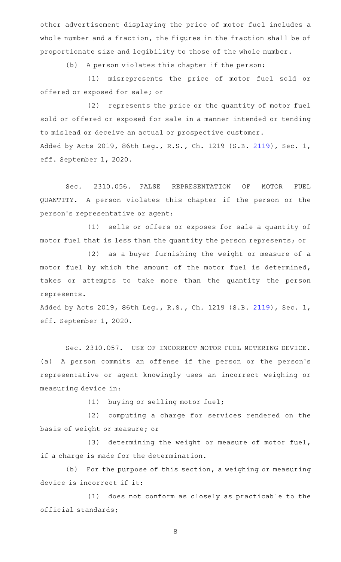other advertisement displaying the price of motor fuel includes a whole number and a fraction, the figures in the fraction shall be of proportionate size and legibility to those of the whole number.

(b) A person violates this chapter if the person:

(1) misrepresents the price of motor fuel sold or offered or exposed for sale; or

(2) represents the price or the quantity of motor fuel sold or offered or exposed for sale in a manner intended or tending to mislead or deceive an actual or prospective customer. Added by Acts 2019, 86th Leg., R.S., Ch. 1219 (S.B. [2119\)](http://www.legis.state.tx.us/tlodocs/86R/billtext/html/SB02119F.HTM), Sec. 1, eff. September 1, 2020.

Sec. 2310.056. FALSE REPRESENTATION OF MOTOR FUEL QUANTITY. A person violates this chapter if the person or the person 's representative or agent:

(1) sells or offers or exposes for sale a quantity of motor fuel that is less than the quantity the person represents; or

 $(2)$  as a buyer furnishing the weight or measure of a motor fuel by which the amount of the motor fuel is determined, takes or attempts to take more than the quantity the person represents.

Added by Acts 2019, 86th Leg., R.S., Ch. 1219 (S.B. [2119\)](http://www.legis.state.tx.us/tlodocs/86R/billtext/html/SB02119F.HTM), Sec. 1, eff. September 1, 2020.

Sec. 2310.057. USE OF INCORRECT MOTOR FUEL METERING DEVICE. (a) A person commits an offense if the person or the person's representative or agent knowingly uses an incorrect weighing or measuring device in:

(1) buying or selling motor fuel;

(2) computing a charge for services rendered on the basis of weight or measure; or

(3) determining the weight or measure of motor fuel, if a charge is made for the determination.

(b) For the purpose of this section, a weighing or measuring device is incorrect if it:

(1) does not conform as closely as practicable to the official standards;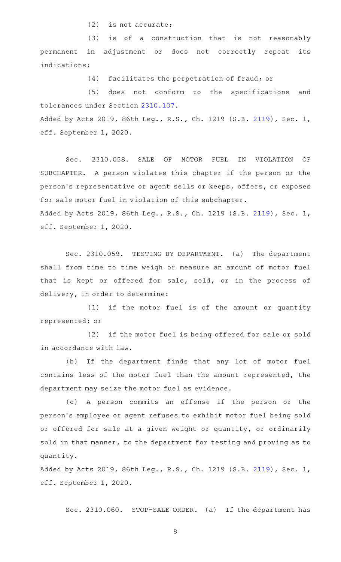$(2)$  is not accurate;

 $(3)$  is of a construction that is not reasonably permanent in adjustment or does not correctly repeat its indications;

(4) facilitates the perpetration of fraud; or

(5) does not conform to the specifications and tolerances under Section [2310.107.](http://www.statutes.legis.state.tx.us/GetStatute.aspx?Code=OC&Value=2310.107) Added by Acts 2019, 86th Leg., R.S., Ch. 1219 (S.B. [2119\)](http://www.legis.state.tx.us/tlodocs/86R/billtext/html/SB02119F.HTM), Sec. 1, eff. September 1, 2020.

Sec. 2310.058. SALE OF MOTOR FUEL IN VIOLATION OF SUBCHAPTER. A person violates this chapter if the person or the person 's representative or agent sells or keeps, offers, or exposes for sale motor fuel in violation of this subchapter. Added by Acts 2019, 86th Leg., R.S., Ch. 1219 (S.B. [2119\)](http://www.legis.state.tx.us/tlodocs/86R/billtext/html/SB02119F.HTM), Sec. 1, eff. September 1, 2020.

Sec. 2310.059. TESTING BY DEPARTMENT. (a) The department shall from time to time weigh or measure an amount of motor fuel that is kept or offered for sale, sold, or in the process of delivery, in order to determine:

(1) if the motor fuel is of the amount or quantity represented; or

(2) if the motor fuel is being offered for sale or sold in accordance with law.

(b) If the department finds that any lot of motor fuel contains less of the motor fuel than the amount represented, the department may seize the motor fuel as evidence.

(c)AAA person commits an offense if the person or the person 's employee or agent refuses to exhibit motor fuel being sold or offered for sale at a given weight or quantity, or ordinarily sold in that manner, to the department for testing and proving as to quantity.

Added by Acts 2019, 86th Leg., R.S., Ch. 1219 (S.B. [2119\)](http://www.legis.state.tx.us/tlodocs/86R/billtext/html/SB02119F.HTM), Sec. 1, eff. September 1, 2020.

Sec. 2310.060. STOP-SALE ORDER. (a) If the department has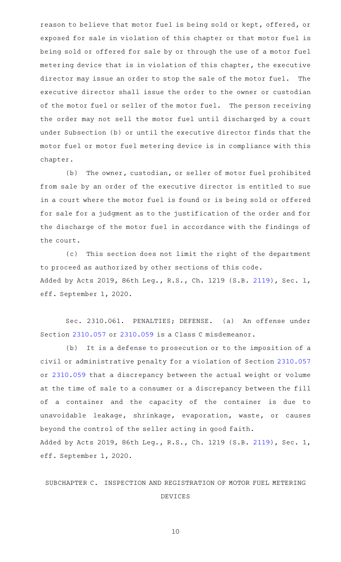reason to believe that motor fuel is being sold or kept, offered, or exposed for sale in violation of this chapter or that motor fuel is being sold or offered for sale by or through the use of a motor fuel metering device that is in violation of this chapter, the executive director may issue an order to stop the sale of the motor fuel. The executive director shall issue the order to the owner or custodian of the motor fuel or seller of the motor fuel. The person receiving the order may not sell the motor fuel until discharged by a court under Subsection (b) or until the executive director finds that the motor fuel or motor fuel metering device is in compliance with this chapter.

(b) The owner, custodian, or seller of motor fuel prohibited from sale by an order of the executive director is entitled to sue in a court where the motor fuel is found or is being sold or offered for sale for a judgment as to the justification of the order and for the discharge of the motor fuel in accordance with the findings of the court.

(c) This section does not limit the right of the department to proceed as authorized by other sections of this code. Added by Acts 2019, 86th Leg., R.S., Ch. 1219 (S.B. [2119\)](http://www.legis.state.tx.us/tlodocs/86R/billtext/html/SB02119F.HTM), Sec. 1, eff. September 1, 2020.

Sec. 2310.061. PENALTIES; DEFENSE. (a) An offense under Section [2310.057](http://www.statutes.legis.state.tx.us/GetStatute.aspx?Code=OC&Value=2310.057) or [2310.059](http://www.statutes.legis.state.tx.us/GetStatute.aspx?Code=OC&Value=2310.059) is a Class C misdemeanor.

(b) It is a defense to prosecution or to the imposition of a civil or administrative penalty for a violation of Section [2310.057](http://www.statutes.legis.state.tx.us/GetStatute.aspx?Code=OC&Value=2310.057) or [2310.059](http://www.statutes.legis.state.tx.us/GetStatute.aspx?Code=OC&Value=2310.059) that a discrepancy between the actual weight or volume at the time of sale to a consumer or a discrepancy between the fill of a container and the capacity of the container is due to unavoidable leakage, shrinkage, evaporation, waste, or causes beyond the control of the seller acting in good faith. Added by Acts 2019, 86th Leg., R.S., Ch. 1219 (S.B. [2119\)](http://www.legis.state.tx.us/tlodocs/86R/billtext/html/SB02119F.HTM), Sec. 1, eff. September 1, 2020.

SUBCHAPTER C. INSPECTION AND REGISTRATION OF MOTOR FUEL METERING DEVICES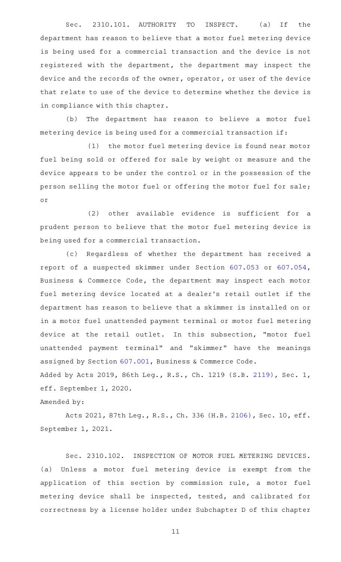Sec. 2310.101. AUTHORITY TO INSPECT. (a) If the department has reason to believe that a motor fuel metering device is being used for a commercial transaction and the device is not registered with the department, the department may inspect the device and the records of the owner, operator, or user of the device that relate to use of the device to determine whether the device is in compliance with this chapter.

(b) The department has reason to believe a motor fuel metering device is being used for a commercial transaction if:

(1) the motor fuel metering device is found near motor fuel being sold or offered for sale by weight or measure and the device appears to be under the control or in the possession of the person selling the motor fuel or offering the motor fuel for sale; or

(2) other available evidence is sufficient for a prudent person to believe that the motor fuel metering device is being used for a commercial transaction.

(c) Regardless of whether the department has received a report of a suspected skimmer under Section [607.053](http://www.statutes.legis.state.tx.us/GetStatute.aspx?Code=BC&Value=607.053) or [607.054](http://www.statutes.legis.state.tx.us/GetStatute.aspx?Code=BC&Value=607.054), Business & Commerce Code, the department may inspect each motor fuel metering device located at a dealer 's retail outlet if the department has reason to believe that a skimmer is installed on or in a motor fuel unattended payment terminal or motor fuel metering device at the retail outlet. In this subsection, "motor fuel unattended payment terminal" and "skimmer" have the meanings assigned by Section [607.001](http://www.statutes.legis.state.tx.us/GetStatute.aspx?Code=BC&Value=607.001), Business & Commerce Code. Added by Acts 2019, 86th Leg., R.S., Ch. 1219 (S.B. [2119\)](http://www.legis.state.tx.us/tlodocs/86R/billtext/html/SB02119F.HTM), Sec. 1, eff. September 1, 2020.

Amended by:

Acts 2021, 87th Leg., R.S., Ch. 336 (H.B. [2106\)](http://www.legis.state.tx.us/tlodocs/87R/billtext/html/HB02106F.HTM), Sec. 10, eff. September 1, 2021.

Sec. 2310.102. INSPECTION OF MOTOR FUEL METERING DEVICES. (a) Unless a motor fuel metering device is exempt from the application of this section by commission rule, a motor fuel metering device shall be inspected, tested, and calibrated for correctness by a license holder under Subchapter D of this chapter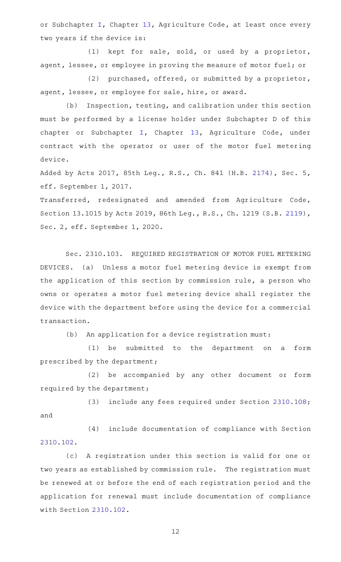or Subchapter [I,](http://www.statutes.legis.state.tx.us/GetStatute.aspx?Code=AG&Value=13.451) Chapter [13,](http://www.statutes.legis.state.tx.us/GetStatute.aspx?Code=AG&Value=13) Agriculture Code, at least once every two years if the device is:

(1) kept for sale, sold, or used by a proprietor, agent, lessee, or employee in proving the measure of motor fuel; or

(2) purchased, offered, or submitted by a proprietor, agent, lessee, or employee for sale, hire, or award.

(b) Inspection, testing, and calibration under this section must be performed by a license holder under Subchapter D of this chapter or Subchapter [I](http://www.statutes.legis.state.tx.us/GetStatute.aspx?Code=AG&Value=13.451), Chapter [13,](http://www.statutes.legis.state.tx.us/GetStatute.aspx?Code=AG&Value=13) Agriculture Code, under contract with the operator or user of the motor fuel metering device.

Added by Acts 2017, 85th Leg., R.S., Ch. 841 (H.B. [2174](http://www.legis.state.tx.us/tlodocs/85R/billtext/html/HB02174F.HTM)), Sec. 5, eff. September 1, 2017.

Transferred, redesignated and amended from Agriculture Code, Section 13.1015 by Acts 2019, 86th Leg., R.S., Ch. 1219 (S.B. [2119\)](http://www.legis.state.tx.us/tlodocs/86R/billtext/html/SB02119F.HTM), Sec. 2, eff. September 1, 2020.

Sec. 2310.103. REQUIRED REGISTRATION OF MOTOR FUEL METERING DEVICES. (a) Unless a motor fuel metering device is exempt from the application of this section by commission rule, a person who owns or operates a motor fuel metering device shall register the device with the department before using the device for a commercial transaction.

(b) An application for a device registration must:

(1) be submitted to the department on a form prescribed by the department;

(2) be accompanied by any other document or form required by the department;

(3) include any fees required under Section [2310.108](http://www.statutes.legis.state.tx.us/GetStatute.aspx?Code=OC&Value=2310.108); and

(4) include documentation of compliance with Section [2310.102](http://www.statutes.legis.state.tx.us/GetStatute.aspx?Code=OC&Value=2310.102).

(c)AAA registration under this section is valid for one or two years as established by commission rule. The registration must be renewed at or before the end of each registration period and the application for renewal must include documentation of compliance with Section [2310.102](http://www.statutes.legis.state.tx.us/GetStatute.aspx?Code=OC&Value=2310.102).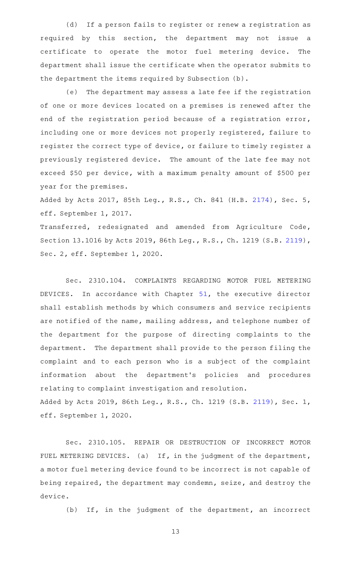(d) If a person fails to register or renew a registration as required by this section, the department may not issue a certificate to operate the motor fuel metering device. The department shall issue the certificate when the operator submits to the department the items required by Subsection (b).

(e) The department may assess a late fee if the registration of one or more devices located on a premises is renewed after the end of the registration period because of a registration error, including one or more devices not properly registered, failure to register the correct type of device, or failure to timely register a previously registered device. The amount of the late fee may not exceed \$50 per device, with a maximum penalty amount of \$500 per year for the premises.

Added by Acts 2017, 85th Leg., R.S., Ch. 841 (H.B. [2174](http://www.legis.state.tx.us/tlodocs/85R/billtext/html/HB02174F.HTM)), Sec. 5, eff. September 1, 2017.

Transferred, redesignated and amended from Agriculture Code, Section 13.1016 by Acts 2019, 86th Leg., R.S., Ch. 1219 (S.B. [2119\)](http://www.legis.state.tx.us/tlodocs/86R/billtext/html/SB02119F.HTM), Sec. 2, eff. September 1, 2020.

Sec. 2310.104. COMPLAINTS REGARDING MOTOR FUEL METERING DEVICES. In accordance with Chapter  $51$ , the executive director shall establish methods by which consumers and service recipients are notified of the name, mailing address, and telephone number of the department for the purpose of directing complaints to the department. The department shall provide to the person filing the complaint and to each person who is a subject of the complaint information about the department 's policies and procedures relating to complaint investigation and resolution. Added by Acts 2019, 86th Leg., R.S., Ch. 1219 (S.B. [2119\)](http://www.legis.state.tx.us/tlodocs/86R/billtext/html/SB02119F.HTM), Sec. 1, eff. September 1, 2020.

Sec. 2310.105. REPAIR OR DESTRUCTION OF INCORRECT MOTOR FUEL METERING DEVICES. (a) If, in the judgment of the department, a motor fuel metering device found to be incorrect is not capable of being repaired, the department may condemn, seize, and destroy the device.

(b) If, in the judgment of the department, an incorrect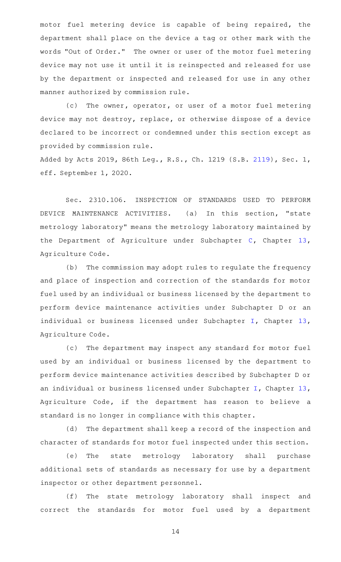motor fuel metering device is capable of being repaired, the department shall place on the device a tag or other mark with the words "Out of Order." The owner or user of the motor fuel metering device may not use it until it is reinspected and released for use by the department or inspected and released for use in any other manner authorized by commission rule.

(c) The owner, operator, or user of a motor fuel metering device may not destroy, replace, or otherwise dispose of a device declared to be incorrect or condemned under this section except as provided by commission rule.

Added by Acts 2019, 86th Leg., R.S., Ch. 1219 (S.B. [2119\)](http://www.legis.state.tx.us/tlodocs/86R/billtext/html/SB02119F.HTM), Sec. 1, eff. September 1, 2020.

Sec. 2310.106. INSPECTION OF STANDARDS USED TO PERFORM DEVICE MAINTENANCE ACTIVITIES. (a) In this section, "state metrology laboratory" means the metrology laboratory maintained by the Department of Agriculture under Subchapter [C](http://www.statutes.legis.state.tx.us/GetStatute.aspx?Code=AG&Value=13.1001), Chapter [13](http://www.statutes.legis.state.tx.us/GetStatute.aspx?Code=AG&Value=13), Agriculture Code.

(b) The commission may adopt rules to regulate the frequency and place of inspection and correction of the standards for motor fuel used by an individual or business licensed by the department to perform device maintenance activities under Subchapter D or an individual or business licensed under Subchapter [I](http://www.statutes.legis.state.tx.us/GetStatute.aspx?Code=AG&Value=13.451), Chapter [13](http://www.statutes.legis.state.tx.us/GetStatute.aspx?Code=AG&Value=13), Agriculture Code.

(c) The department may inspect any standard for motor fuel used by an individual or business licensed by the department to perform device maintenance activities described by Subchapter D or an individual or business licensed under Subchapter [I,](http://www.statutes.legis.state.tx.us/GetStatute.aspx?Code=AG&Value=13.451) Chapter [13](http://www.statutes.legis.state.tx.us/GetStatute.aspx?Code=AG&Value=13), Agriculture Code, if the department has reason to believe a standard is no longer in compliance with this chapter.

(d) The department shall keep a record of the inspection and character of standards for motor fuel inspected under this section.

(e) The state metrology laboratory shall purchase additional sets of standards as necessary for use by a department inspector or other department personnel.

(f) The state metrology laboratory shall inspect and correct the standards for motor fuel used by a department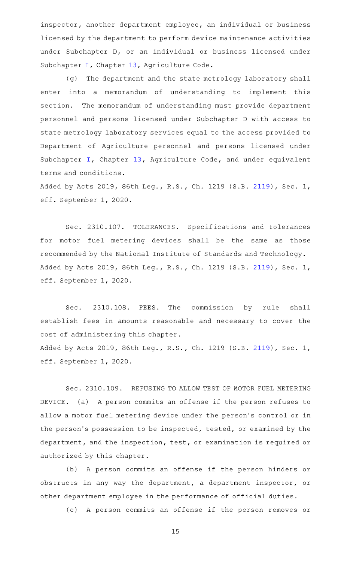inspector, another department employee, an individual or business licensed by the department to perform device maintenance activities under Subchapter D, or an individual or business licensed under Subchapter [I](http://www.statutes.legis.state.tx.us/GetStatute.aspx?Code=AG&Value=13.451), Chapter [13,](http://www.statutes.legis.state.tx.us/GetStatute.aspx?Code=AG&Value=13) Agriculture Code.

(g) The department and the state metrology laboratory shall enter into a memorandum of understanding to implement this section. The memorandum of understanding must provide department personnel and persons licensed under Subchapter D with access to state metrology laboratory services equal to the access provided to Department of Agriculture personnel and persons licensed under Subchapter [I,](http://www.statutes.legis.state.tx.us/GetStatute.aspx?Code=AG&Value=13.451) Chapter [13](http://www.statutes.legis.state.tx.us/GetStatute.aspx?Code=AG&Value=13), Agriculture Code, and under equivalent terms and conditions.

Added by Acts 2019, 86th Leg., R.S., Ch. 1219 (S.B. [2119\)](http://www.legis.state.tx.us/tlodocs/86R/billtext/html/SB02119F.HTM), Sec. 1, eff. September 1, 2020.

Sec. 2310.107. TOLERANCES. Specifications and tolerances for motor fuel metering devices shall be the same as those recommended by the National Institute of Standards and Technology. Added by Acts 2019, 86th Leg., R.S., Ch. 1219 (S.B. [2119\)](http://www.legis.state.tx.us/tlodocs/86R/billtext/html/SB02119F.HTM), Sec. 1, eff. September 1, 2020.

Sec. 2310.108. FEES. The commission by rule shall establish fees in amounts reasonable and necessary to cover the cost of administering this chapter. Added by Acts 2019, 86th Leg., R.S., Ch. 1219 (S.B. [2119\)](http://www.legis.state.tx.us/tlodocs/86R/billtext/html/SB02119F.HTM), Sec. 1, eff. September 1, 2020.

Sec. 2310.109. REFUSING TO ALLOW TEST OF MOTOR FUEL METERING DEVICE. (a) A person commits an offense if the person refuses to allow a motor fuel metering device under the person 's control or in the person's possession to be inspected, tested, or examined by the department, and the inspection, test, or examination is required or authorized by this chapter.

(b) A person commits an offense if the person hinders or obstructs in any way the department, a department inspector, or other department employee in the performance of official duties.

(c)AAA person commits an offense if the person removes or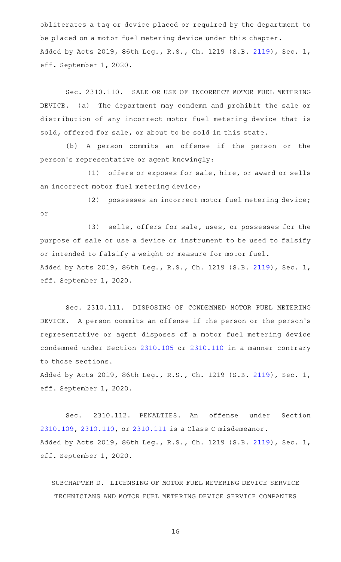obliterates a tag or device placed or required by the department to be placed on a motor fuel metering device under this chapter. Added by Acts 2019, 86th Leg., R.S., Ch. 1219 (S.B. [2119\)](http://www.legis.state.tx.us/tlodocs/86R/billtext/html/SB02119F.HTM), Sec. 1, eff. September 1, 2020.

Sec. 2310.110. SALE OR USE OF INCORRECT MOTOR FUEL METERING DEVICE. (a) The department may condemn and prohibit the sale or distribution of any incorrect motor fuel metering device that is sold, offered for sale, or about to be sold in this state.

(b) A person commits an offense if the person or the person 's representative or agent knowingly:

(1) offers or exposes for sale, hire, or award or sells an incorrect motor fuel metering device;

(2) possesses an incorrect motor fuel metering device; or

(3) sells, offers for sale, uses, or possesses for the purpose of sale or use a device or instrument to be used to falsify or intended to falsify a weight or measure for motor fuel. Added by Acts 2019, 86th Leg., R.S., Ch. 1219 (S.B. [2119\)](http://www.legis.state.tx.us/tlodocs/86R/billtext/html/SB02119F.HTM), Sec. 1, eff. September 1, 2020.

Sec. 2310.111. DISPOSING OF CONDEMNED MOTOR FUEL METERING DEVICE. A person commits an offense if the person or the person's representative or agent disposes of a motor fuel metering device condemned under Section [2310.105](http://www.statutes.legis.state.tx.us/GetStatute.aspx?Code=OC&Value=2310.105) or [2310.110](http://www.statutes.legis.state.tx.us/GetStatute.aspx?Code=OC&Value=2310.110) in a manner contrary to those sections.

Added by Acts 2019, 86th Leg., R.S., Ch. 1219 (S.B. [2119\)](http://www.legis.state.tx.us/tlodocs/86R/billtext/html/SB02119F.HTM), Sec. 1, eff. September 1, 2020.

Sec. 2310.112. PENALTIES. An offense under Section [2310.109](http://www.statutes.legis.state.tx.us/GetStatute.aspx?Code=OC&Value=2310.109), [2310.110](http://www.statutes.legis.state.tx.us/GetStatute.aspx?Code=OC&Value=2310.110), or [2310.111](http://www.statutes.legis.state.tx.us/GetStatute.aspx?Code=OC&Value=2310.111) is a Class C misdemeanor. Added by Acts 2019, 86th Leg., R.S., Ch. 1219 (S.B. [2119\)](http://www.legis.state.tx.us/tlodocs/86R/billtext/html/SB02119F.HTM), Sec. 1, eff. September 1, 2020.

SUBCHAPTER D. LICENSING OF MOTOR FUEL METERING DEVICE SERVICE TECHNICIANS AND MOTOR FUEL METERING DEVICE SERVICE COMPANIES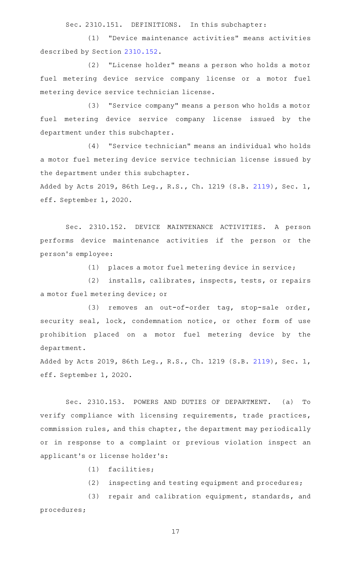Sec. 2310.151. DEFINITIONS. In this subchapter:

(1) "Device maintenance activities" means activities described by Section [2310.152](http://www.statutes.legis.state.tx.us/GetStatute.aspx?Code=OC&Value=2310.152).

(2) "License holder" means a person who holds a motor fuel metering device service company license or a motor fuel metering device service technician license.

(3) "Service company" means a person who holds a motor fuel metering device service company license issued by the department under this subchapter.

(4) "Service technician" means an individual who holds a motor fuel metering device service technician license issued by the department under this subchapter.

Added by Acts 2019, 86th Leg., R.S., Ch. 1219 (S.B. [2119\)](http://www.legis.state.tx.us/tlodocs/86R/billtext/html/SB02119F.HTM), Sec. 1, eff. September 1, 2020.

Sec. 2310.152. DEVICE MAINTENANCE ACTIVITIES. A person performs device maintenance activities if the person or the person 's employee:

(1) places a motor fuel metering device in service;

(2) installs, calibrates, inspects, tests, or repairs a motor fuel metering device; or

(3) removes an out-of-order tag, stop-sale order, security seal, lock, condemnation notice, or other form of use prohibition placed on a motor fuel metering device by the department.

Added by Acts 2019, 86th Leg., R.S., Ch. 1219 (S.B. [2119\)](http://www.legis.state.tx.us/tlodocs/86R/billtext/html/SB02119F.HTM), Sec. 1, eff. September 1, 2020.

Sec. 2310.153. POWERS AND DUTIES OF DEPARTMENT. (a) To verify compliance with licensing requirements, trade practices, commission rules, and this chapter, the department may periodically or in response to a complaint or previous violation inspect an applicant 's or license holder 's:

- $(1)$  facilities;
- $(2)$  inspecting and testing equipment and procedures;

(3) repair and calibration equipment, standards, and procedures;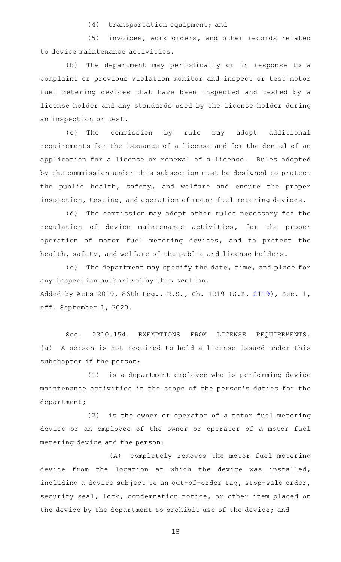$(4)$  transportation equipment; and

(5) invoices, work orders, and other records related to device maintenance activities.

(b) The department may periodically or in response to a complaint or previous violation monitor and inspect or test motor fuel metering devices that have been inspected and tested by a license holder and any standards used by the license holder during an inspection or test.

(c) The commission by rule may adopt additional requirements for the issuance of a license and for the denial of an application for a license or renewal of a license. Rules adopted by the commission under this subsection must be designed to protect the public health, safety, and welfare and ensure the proper inspection, testing, and operation of motor fuel metering devices.

(d) The commission may adopt other rules necessary for the regulation of device maintenance activities, for the proper operation of motor fuel metering devices, and to protect the health, safety, and welfare of the public and license holders.

(e) The department may specify the date, time, and place for any inspection authorized by this section. Added by Acts 2019, 86th Leg., R.S., Ch. 1219 (S.B. [2119\)](http://www.legis.state.tx.us/tlodocs/86R/billtext/html/SB02119F.HTM), Sec. 1, eff. September 1, 2020.

Sec. 2310.154. EXEMPTIONS FROM LICENSE REQUIREMENTS. (a) A person is not required to hold a license issued under this subchapter if the person:

 $(1)$  is a department employee who is performing device maintenance activities in the scope of the person 's duties for the department;

(2) is the owner or operator of a motor fuel metering device or an employee of the owner or operator of a motor fuel metering device and the person:

(A) completely removes the motor fuel metering device from the location at which the device was installed, including a device subject to an out-of-order tag, stop-sale order, security seal, lock, condemnation notice, or other item placed on the device by the department to prohibit use of the device; and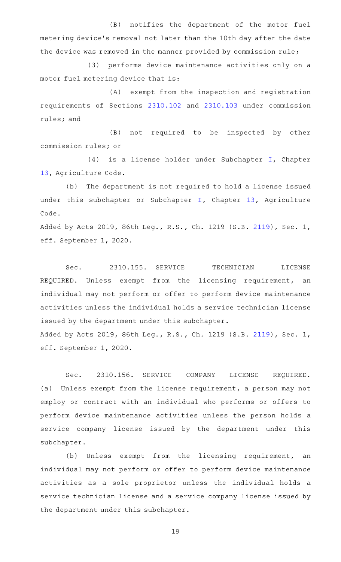(B) notifies the department of the motor fuel metering device 's removal not later than the 10th day after the date the device was removed in the manner provided by commission rule;

(3) performs device maintenance activities only on a motor fuel metering device that is:

(A) exempt from the inspection and registration requirements of Sections [2310.102](http://www.statutes.legis.state.tx.us/GetStatute.aspx?Code=OC&Value=2310.102) and [2310.103](http://www.statutes.legis.state.tx.us/GetStatute.aspx?Code=OC&Value=2310.103) under commission rules; and

(B) not required to be inspected by other commission rules; or

(4) is a license holder under Subchapter  $I$ , Chapter [13](http://www.statutes.legis.state.tx.us/GetStatute.aspx?Code=AG&Value=13), Agriculture Code.

(b) The department is not required to hold a license issued under this subchapter or Subchapter [I,](http://www.statutes.legis.state.tx.us/GetStatute.aspx?Code=AG&Value=13.451) Chapter [13,](http://www.statutes.legis.state.tx.us/GetStatute.aspx?Code=AG&Value=13) Agriculture Code.

Added by Acts 2019, 86th Leg., R.S., Ch. 1219 (S.B. [2119\)](http://www.legis.state.tx.us/tlodocs/86R/billtext/html/SB02119F.HTM), Sec. 1, eff. September 1, 2020.

Sec. 2310.155. SERVICE TECHNICIAN LICENSE REQUIRED. Unless exempt from the licensing requirement, an individual may not perform or offer to perform device maintenance activities unless the individual holds a service technician license issued by the department under this subchapter.

Added by Acts 2019, 86th Leg., R.S., Ch. 1219 (S.B. [2119\)](http://www.legis.state.tx.us/tlodocs/86R/billtext/html/SB02119F.HTM), Sec. 1, eff. September 1, 2020.

Sec. 2310.156. SERVICE COMPANY LICENSE REQUIRED. (a) Unless exempt from the license requirement, a person may not employ or contract with an individual who performs or offers to perform device maintenance activities unless the person holds a service company license issued by the department under this subchapter.

(b) Unless exempt from the licensing requirement, an individual may not perform or offer to perform device maintenance activities as a sole proprietor unless the individual holds a service technician license and a service company license issued by the department under this subchapter.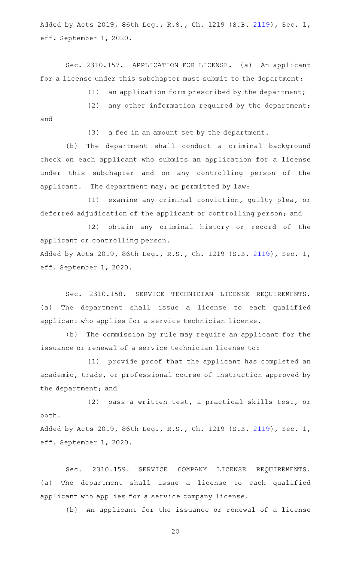Added by Acts 2019, 86th Leg., R.S., Ch. 1219 (S.B. [2119\)](http://www.legis.state.tx.us/tlodocs/86R/billtext/html/SB02119F.HTM), Sec. 1, eff. September 1, 2020.

Sec. 2310.157. APPLICATION FOR LICENSE. (a) An applicant for a license under this subchapter must submit to the department:

(1) an application form prescribed by the department;

(2) any other information required by the department; and

(3) a fee in an amount set by the department.

(b) The department shall conduct a criminal background check on each applicant who submits an application for a license under this subchapter and on any controlling person of the applicant. The department may, as permitted by law:

(1) examine any criminal conviction, guilty plea, or deferred adjudication of the applicant or controlling person; and

(2) obtain any criminal history or record of the applicant or controlling person.

Added by Acts 2019, 86th Leg., R.S., Ch. 1219 (S.B. [2119\)](http://www.legis.state.tx.us/tlodocs/86R/billtext/html/SB02119F.HTM), Sec. 1, eff. September 1, 2020.

Sec. 2310.158. SERVICE TECHNICIAN LICENSE REQUIREMENTS. (a) The department shall issue a license to each qualified applicant who applies for a service technician license.

(b) The commission by rule may require an applicant for the issuance or renewal of a service technician license to:

(1) provide proof that the applicant has completed an academic, trade, or professional course of instruction approved by the department; and

(2) pass a written test, a practical skills test, or both.

Added by Acts 2019, 86th Leg., R.S., Ch. 1219 (S.B. [2119\)](http://www.legis.state.tx.us/tlodocs/86R/billtext/html/SB02119F.HTM), Sec. 1, eff. September 1, 2020.

Sec. 2310.159. SERVICE COMPANY LICENSE REQUIREMENTS. (a) The department shall issue a license to each qualified applicant who applies for a service company license.

(b) An applicant for the issuance or renewal of a license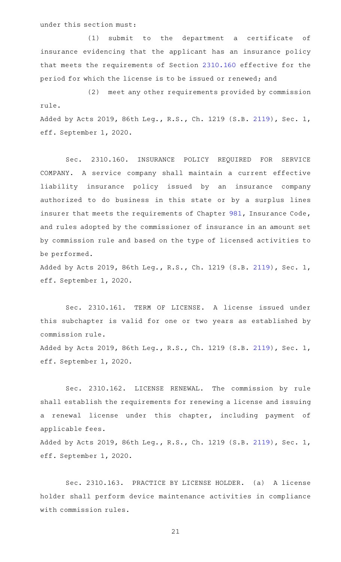under this section must:

eff. September 1, 2020.

(1) submit to the department a certificate of insurance evidencing that the applicant has an insurance policy that meets the requirements of Section [2310.160](http://www.statutes.legis.state.tx.us/GetStatute.aspx?Code=OC&Value=2310.160) effective for the period for which the license is to be issued or renewed; and

(2) meet any other requirements provided by commission rule. Added by Acts 2019, 86th Leg., R.S., Ch. 1219 (S.B. [2119\)](http://www.legis.state.tx.us/tlodocs/86R/billtext/html/SB02119F.HTM), Sec. 1, eff. September 1, 2020.

Sec. 2310.160. INSURANCE POLICY REQUIRED FOR SERVICE COMPANY. A service company shall maintain a current effective liability insurance policy issued by an insurance company authorized to do business in this state or by a surplus lines insurer that meets the requirements of Chapter [981](http://www.statutes.legis.state.tx.us/GetStatute.aspx?Code=IN&Value=981), Insurance Code, and rules adopted by the commissioner of insurance in an amount set by commission rule and based on the type of licensed activities to be performed.

Added by Acts 2019, 86th Leg., R.S., Ch. 1219 (S.B. [2119\)](http://www.legis.state.tx.us/tlodocs/86R/billtext/html/SB02119F.HTM), Sec. 1, eff. September 1, 2020.

Sec. 2310.161. TERM OF LICENSE. A license issued under this subchapter is valid for one or two years as established by commission rule. Added by Acts 2019, 86th Leg., R.S., Ch. 1219 (S.B. [2119\)](http://www.legis.state.tx.us/tlodocs/86R/billtext/html/SB02119F.HTM), Sec. 1,

Sec. 2310.162. LICENSE RENEWAL. The commission by rule shall establish the requirements for renewing a license and issuing a renewal license under this chapter, including payment of applicable fees.

Added by Acts 2019, 86th Leg., R.S., Ch. 1219 (S.B. [2119\)](http://www.legis.state.tx.us/tlodocs/86R/billtext/html/SB02119F.HTM), Sec. 1, eff. September 1, 2020.

Sec. 2310.163. PRACTICE BY LICENSE HOLDER. (a) A license holder shall perform device maintenance activities in compliance with commission rules.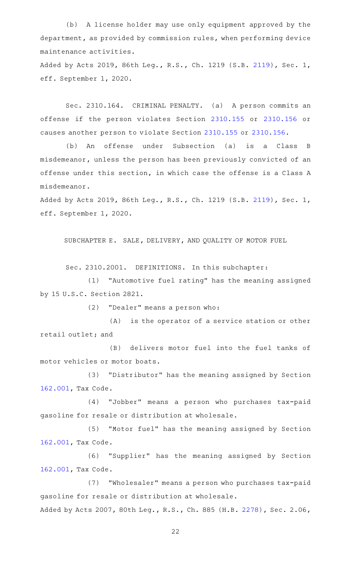(b) A license holder may use only equipment approved by the department, as provided by commission rules, when performing device maintenance activities.

Added by Acts 2019, 86th Leg., R.S., Ch. 1219 (S.B. [2119\)](http://www.legis.state.tx.us/tlodocs/86R/billtext/html/SB02119F.HTM), Sec. 1, eff. September 1, 2020.

Sec. 2310.164. CRIMINAL PENALTY. (a) A person commits an offense if the person violates Section [2310.155](http://www.statutes.legis.state.tx.us/GetStatute.aspx?Code=OC&Value=2310.155) or [2310.156](http://www.statutes.legis.state.tx.us/GetStatute.aspx?Code=OC&Value=2310.156) or causes another person to violate Section [2310.155](http://www.statutes.legis.state.tx.us/GetStatute.aspx?Code=OC&Value=2310.155) or [2310.156](http://www.statutes.legis.state.tx.us/GetStatute.aspx?Code=OC&Value=2310.156).

(b) An offense under Subsection (a) is a Class B misdemeanor, unless the person has been previously convicted of an offense under this section, in which case the offense is a Class A misdemeanor.

Added by Acts 2019, 86th Leg., R.S., Ch. 1219 (S.B. [2119\)](http://www.legis.state.tx.us/tlodocs/86R/billtext/html/SB02119F.HTM), Sec. 1, eff. September 1, 2020.

SUBCHAPTER E. SALE, DELIVERY, AND QUALITY OF MOTOR FUEL

Sec. 2310.2001. DEFINITIONS. In this subchapter:

(1) "Automotive fuel rating" has the meaning assigned by 15 U.S.C. Section 2821.

 $(2)$  "Dealer" means a person who:

(A) is the operator of a service station or other retail outlet; and

(B) delivers motor fuel into the fuel tanks of motor vehicles or motor boats.

(3) "Distributor" has the meaning assigned by Section [162.001,](http://www.statutes.legis.state.tx.us/GetStatute.aspx?Code=TX&Value=162.001) Tax Code.

(4) "Jobber" means a person who purchases tax-paid gasoline for resale or distribution at wholesale.

(5) "Motor fuel" has the meaning assigned by Section [162.001,](http://www.statutes.legis.state.tx.us/GetStatute.aspx?Code=TX&Value=162.001) Tax Code.

(6) "Supplier" has the meaning assigned by Section [162.001,](http://www.statutes.legis.state.tx.us/GetStatute.aspx?Code=TX&Value=162.001) Tax Code.

(7) "Wholesaler" means a person who purchases tax-paid gasoline for resale or distribution at wholesale. Added by Acts 2007, 80th Leg., R.S., Ch. 885 (H.B. [2278](http://www.legis.state.tx.us/tlodocs/80R/billtext/html/HB02278F.HTM)), Sec. 2.06,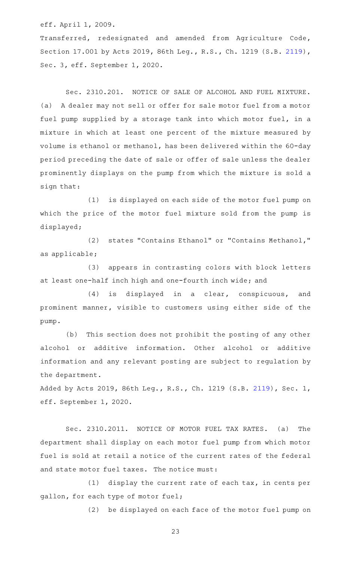eff. April 1, 2009.

Transferred, redesignated and amended from Agriculture Code, Section 17.001 by Acts 2019, 86th Leg., R.S., Ch. 1219 (S.B. [2119\)](http://www.legis.state.tx.us/tlodocs/86R/billtext/html/SB02119F.HTM), Sec. 3, eff. September 1, 2020.

Sec. 2310.201. NOTICE OF SALE OF ALCOHOL AND FUEL MIXTURE. (a) A dealer may not sell or offer for sale motor fuel from a motor fuel pump supplied by a storage tank into which motor fuel, in a mixture in which at least one percent of the mixture measured by volume is ethanol or methanol, has been delivered within the 60-day period preceding the date of sale or offer of sale unless the dealer prominently displays on the pump from which the mixture is sold a sign that:

(1) is displayed on each side of the motor fuel pump on which the price of the motor fuel mixture sold from the pump is displayed;

(2) states "Contains Ethanol" or "Contains Methanol," as applicable;

(3) appears in contrasting colors with block letters at least one-half inch high and one-fourth inch wide; and

(4) is displayed in a clear, conspicuous, and prominent manner, visible to customers using either side of the pump.

(b) This section does not prohibit the posting of any other alcohol or additive information. Other alcohol or additive information and any relevant posting are subject to regulation by the department.

Added by Acts 2019, 86th Leg., R.S., Ch. 1219 (S.B. [2119\)](http://www.legis.state.tx.us/tlodocs/86R/billtext/html/SB02119F.HTM), Sec. 1, eff. September 1, 2020.

Sec. 2310.2011. NOTICE OF MOTOR FUEL TAX RATES. (a) The department shall display on each motor fuel pump from which motor fuel is sold at retail a notice of the current rates of the federal and state motor fuel taxes. The notice must:

 $(1)$  display the current rate of each tax, in cents per gallon, for each type of motor fuel;

(2) be displayed on each face of the motor fuel pump on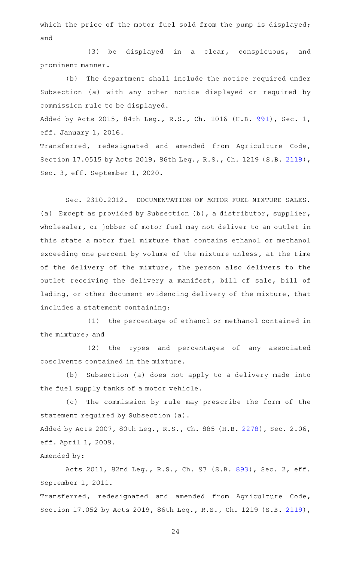which the price of the motor fuel sold from the pump is displayed; and

(3) be displayed in a clear, conspicuous, and prominent manner.

(b) The department shall include the notice required under Subsection (a) with any other notice displayed or required by commission rule to be displayed.

Added by Acts 2015, 84th Leg., R.S., Ch. 1016 (H.B. [991](http://www.legis.state.tx.us/tlodocs/84R/billtext/html/HB00991F.HTM)), Sec. 1, eff. January 1, 2016.

Transferred, redesignated and amended from Agriculture Code, Section 17.0515 by Acts 2019, 86th Leg., R.S., Ch. 1219 (S.B. [2119\)](http://www.legis.state.tx.us/tlodocs/86R/billtext/html/SB02119F.HTM), Sec. 3, eff. September 1, 2020.

Sec. 2310.2012. DOCUMENTATION OF MOTOR FUEL MIXTURE SALES. (a) Except as provided by Subsection (b), a distributor, supplier, wholesaler, or jobber of motor fuel may not deliver to an outlet in this state a motor fuel mixture that contains ethanol or methanol exceeding one percent by volume of the mixture unless, at the time of the delivery of the mixture, the person also delivers to the outlet receiving the delivery a manifest, bill of sale, bill of lading, or other document evidencing delivery of the mixture, that includes a statement containing:

(1) the percentage of ethanol or methanol contained in the mixture; and

(2) the types and percentages of any associated cosolvents contained in the mixture.

(b) Subsection (a) does not apply to a delivery made into the fuel supply tanks of a motor vehicle.

(c) The commission by rule may prescribe the form of the statement required by Subsection (a).

Added by Acts 2007, 80th Leg., R.S., Ch. 885 (H.B. [2278](http://www.legis.state.tx.us/tlodocs/80R/billtext/html/HB02278F.HTM)), Sec. 2.06, eff. April 1, 2009.

## Amended by:

Acts 2011, 82nd Leg., R.S., Ch. 97 (S.B. [893](http://www.legis.state.tx.us/tlodocs/82R/billtext/html/SB00893F.HTM)), Sec. 2, eff. September 1, 2011.

Transferred, redesignated and amended from Agriculture Code, Section 17.052 by Acts 2019, 86th Leg., R.S., Ch. 1219 (S.B. [2119\)](http://www.legis.state.tx.us/tlodocs/86R/billtext/html/SB02119F.HTM),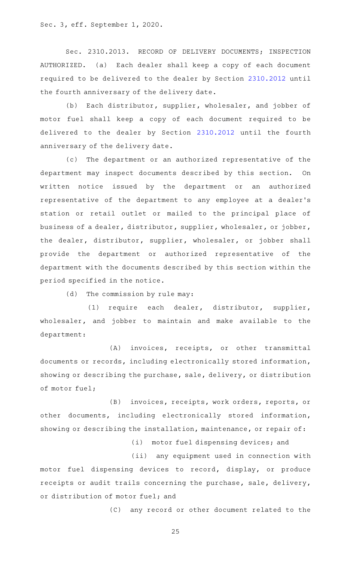Sec. 3, eff. September 1, 2020.

Sec. 2310.2013. RECORD OF DELIVERY DOCUMENTS; INSPECTION AUTHORIZED. (a) Each dealer shall keep a copy of each document required to be delivered to the dealer by Section [2310.2012](http://www.statutes.legis.state.tx.us/GetStatute.aspx?Code=OC&Value=2310.2012) until the fourth anniversary of the delivery date.

(b) Each distributor, supplier, wholesaler, and jobber of motor fuel shall keep a copy of each document required to be delivered to the dealer by Section [2310.2012](http://www.statutes.legis.state.tx.us/GetStatute.aspx?Code=OC&Value=2310.2012) until the fourth anniversary of the delivery date.

(c) The department or an authorized representative of the department may inspect documents described by this section. On written notice issued by the department or an authorized representative of the department to any employee at a dealer 's station or retail outlet or mailed to the principal place of business of a dealer, distributor, supplier, wholesaler, or jobber, the dealer, distributor, supplier, wholesaler, or jobber shall provide the department or authorized representative of the department with the documents described by this section within the period specified in the notice.

(d) The commission by rule may:

(1) require each dealer, distributor, supplier, wholesaler, and jobber to maintain and make available to the department:

(A) invoices, receipts, or other transmittal documents or records, including electronically stored information, showing or describing the purchase, sale, delivery, or distribution of motor fuel;

(B) invoices, receipts, work orders, reports, or other documents, including electronically stored information, showing or describing the installation, maintenance, or repair of:

(i) motor fuel dispensing devices; and

(ii) any equipment used in connection with motor fuel dispensing devices to record, display, or produce receipts or audit trails concerning the purchase, sale, delivery, or distribution of motor fuel; and

(C) any record or other document related to the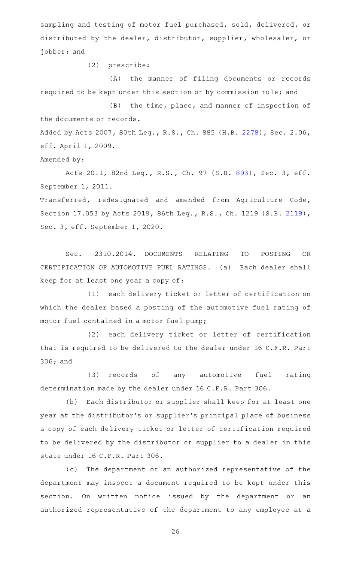sampling and testing of motor fuel purchased, sold, delivered, or distributed by the dealer, distributor, supplier, wholesaler, or jobber; and

(2) prescribe:

(A) the manner of filing documents or records required to be kept under this section or by commission rule; and

(B) the time, place, and manner of inspection of the documents or records.

Added by Acts 2007, 80th Leg., R.S., Ch. 885 (H.B. [2278](http://www.legis.state.tx.us/tlodocs/80R/billtext/html/HB02278F.HTM)), Sec. 2.06, eff. April 1, 2009.

Amended by:

Acts 2011, 82nd Leg., R.S., Ch. 97 (S.B. [893](http://www.legis.state.tx.us/tlodocs/82R/billtext/html/SB00893F.HTM)), Sec. 3, eff. September 1, 2011.

Transferred, redesignated and amended from Agriculture Code, Section 17.053 by Acts 2019, 86th Leg., R.S., Ch. 1219 (S.B. [2119\)](http://www.legis.state.tx.us/tlodocs/86R/billtext/html/SB02119F.HTM), Sec. 3, eff. September 1, 2020.

Sec. 2310.2014. DOCUMENTS RELATING TO POSTING OR CERTIFICATION OF AUTOMOTIVE FUEL RATINGS. (a) Each dealer shall keep for at least one year a copy of:

(1) each delivery ticket or letter of certification on which the dealer based a posting of the automotive fuel rating of motor fuel contained in a motor fuel pump;

(2) each delivery ticket or letter of certification that is required to be delivered to the dealer under 16 C.F.R. Part 306; and

(3) records of any automotive fuel rating determination made by the dealer under 16 C.F.R. Part 306.

(b) Each distributor or supplier shall keep for at least one year at the distributor 's or supplier 's principal place of business a copy of each delivery ticket or letter of certification required to be delivered by the distributor or supplier to a dealer in this state under 16 C.F.R. Part 306.

(c) The department or an authorized representative of the department may inspect a document required to be kept under this section. On written notice issued by the department or an authorized representative of the department to any employee at a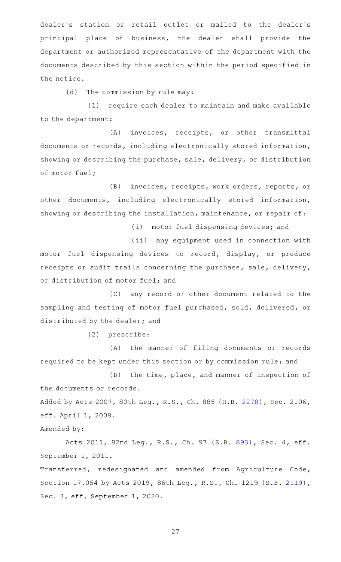dealer's station or retail outlet or mailed to the dealer's principal place of business, the dealer shall provide the department or authorized representative of the department with the documents described by this section within the period specified in the notice.

(d) The commission by rule may:

(1) require each dealer to maintain and make available to the department:

(A) invoices, receipts, or other transmittal documents or records, including electronically stored information, showing or describing the purchase, sale, delivery, or distribution of motor fuel;

(B) invoices, receipts, work orders, reports, or other documents, including electronically stored information, showing or describing the installation, maintenance, or repair of:

(i) motor fuel dispensing devices; and

(ii) any equipment used in connection with motor fuel dispensing devices to record, display, or produce receipts or audit trails concerning the purchase, sale, delivery, or distribution of motor fuel; and

(C) any record or other document related to the sampling and testing of motor fuel purchased, sold, delivered, or distributed by the dealer; and

(2) prescribe:

(A) the manner of filing documents or records required to be kept under this section or by commission rule; and

(B) the time, place, and manner of inspection of the documents or records.

Added by Acts 2007, 80th Leg., R.S., Ch. 885 (H.B. [2278](http://www.legis.state.tx.us/tlodocs/80R/billtext/html/HB02278F.HTM)), Sec. 2.06, eff. April 1, 2009.

Amended by:

Acts 2011, 82nd Leg., R.S., Ch. 97 (S.B. [893](http://www.legis.state.tx.us/tlodocs/82R/billtext/html/SB00893F.HTM)), Sec. 4, eff. September 1, 2011.

Transferred, redesignated and amended from Agriculture Code, Section 17.054 by Acts 2019, 86th Leg., R.S., Ch. 1219 (S.B. [2119\)](http://www.legis.state.tx.us/tlodocs/86R/billtext/html/SB02119F.HTM), Sec. 3, eff. September 1, 2020.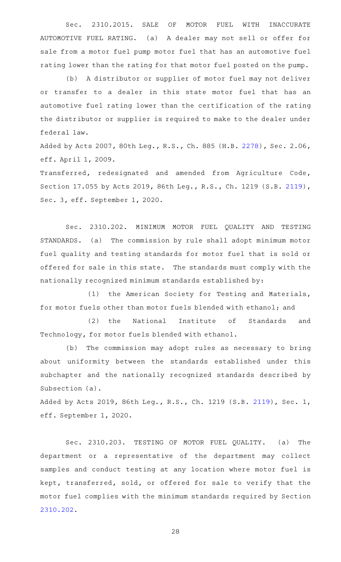Sec. 2310.2015. SALE OF MOTOR FUEL WITH INACCURATE AUTOMOTIVE FUEL RATING. (a) A dealer may not sell or offer for sale from a motor fuel pump motor fuel that has an automotive fuel rating lower than the rating for that motor fuel posted on the pump.

(b) A distributor or supplier of motor fuel may not deliver or transfer to a dealer in this state motor fuel that has an automotive fuel rating lower than the certification of the rating the distributor or supplier is required to make to the dealer under federal law.

Added by Acts 2007, 80th Leg., R.S., Ch. 885 (H.B. [2278](http://www.legis.state.tx.us/tlodocs/80R/billtext/html/HB02278F.HTM)), Sec. 2.06, eff. April 1, 2009.

Transferred, redesignated and amended from Agriculture Code, Section 17.055 by Acts 2019, 86th Leg., R.S., Ch. 1219 (S.B. [2119\)](http://www.legis.state.tx.us/tlodocs/86R/billtext/html/SB02119F.HTM), Sec. 3, eff. September 1, 2020.

Sec. 2310.202. MINIMUM MOTOR FUEL QUALITY AND TESTING STANDARDS. (a) The commission by rule shall adopt minimum motor fuel quality and testing standards for motor fuel that is sold or offered for sale in this state. The standards must comply with the nationally recognized minimum standards established by:

(1) the American Society for Testing and Materials, for motor fuels other than motor fuels blended with ethanol; and

(2) the National Institute of Standards and Technology, for motor fuels blended with ethanol.

(b) The commission may adopt rules as necessary to bring about uniformity between the standards established under this subchapter and the nationally recognized standards described by Subsection (a).

Added by Acts 2019, 86th Leg., R.S., Ch. 1219 (S.B. [2119\)](http://www.legis.state.tx.us/tlodocs/86R/billtext/html/SB02119F.HTM), Sec. 1, eff. September 1, 2020.

Sec. 2310.203. TESTING OF MOTOR FUEL QUALITY. (a) The department or a representative of the department may collect samples and conduct testing at any location where motor fuel is kept, transferred, sold, or offered for sale to verify that the motor fuel complies with the minimum standards required by Section [2310.202](http://www.statutes.legis.state.tx.us/GetStatute.aspx?Code=OC&Value=2310.202).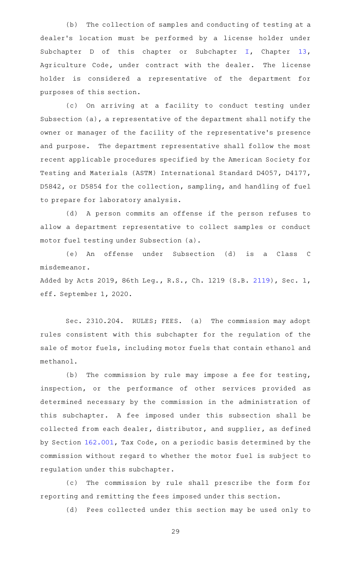(b) The collection of samples and conducting of testing at a dealer 's location must be performed by a license holder under Subchapter D of this chapter or Subchapter [I](http://www.statutes.legis.state.tx.us/GetStatute.aspx?Code=AG&Value=13.451), Chapter [13](http://www.statutes.legis.state.tx.us/GetStatute.aspx?Code=AG&Value=13), Agriculture Code, under contract with the dealer. The license holder is considered a representative of the department for purposes of this section.

(c) On arriving at a facility to conduct testing under Subsection (a), a representative of the department shall notify the owner or manager of the facility of the representative 's presence and purpose. The department representative shall follow the most recent applicable procedures specified by the American Society for Testing and Materials (ASTM) International Standard D4057, D4177, D5842, or D5854 for the collection, sampling, and handling of fuel to prepare for laboratory analysis.

(d) A person commits an offense if the person refuses to allow a department representative to collect samples or conduct motor fuel testing under Subsection (a).

(e) An offense under Subsection (d) is a Class C misdemeanor.

Added by Acts 2019, 86th Leg., R.S., Ch. 1219 (S.B. [2119\)](http://www.legis.state.tx.us/tlodocs/86R/billtext/html/SB02119F.HTM), Sec. 1, eff. September 1, 2020.

Sec. 2310.204. RULES; FEES. (a) The commission may adopt rules consistent with this subchapter for the regulation of the sale of motor fuels, including motor fuels that contain ethanol and methanol.

(b) The commission by rule may impose a fee for testing, inspection, or the performance of other services provided as determined necessary by the commission in the administration of this subchapter. A fee imposed under this subsection shall be collected from each dealer, distributor, and supplier, as defined by Section [162.001](http://www.statutes.legis.state.tx.us/GetStatute.aspx?Code=TX&Value=162.001), Tax Code, on a periodic basis determined by the commission without regard to whether the motor fuel is subject to regulation under this subchapter.

(c) The commission by rule shall prescribe the form for reporting and remitting the fees imposed under this section.

(d) Fees collected under this section may be used only to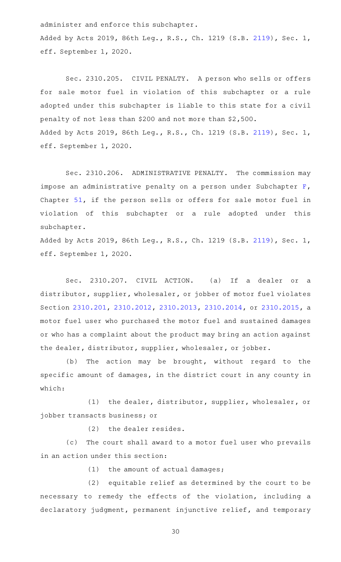administer and enforce this subchapter.

Added by Acts 2019, 86th Leg., R.S., Ch. 1219 (S.B. [2119\)](http://www.legis.state.tx.us/tlodocs/86R/billtext/html/SB02119F.HTM), Sec. 1, eff. September 1, 2020.

Sec. 2310.205. CIVIL PENALTY. A person who sells or offers for sale motor fuel in violation of this subchapter or a rule adopted under this subchapter is liable to this state for a civil penalty of not less than \$200 and not more than \$2,500. Added by Acts 2019, 86th Leg., R.S., Ch. 1219 (S.B. [2119\)](http://www.legis.state.tx.us/tlodocs/86R/billtext/html/SB02119F.HTM), Sec. 1, eff. September 1, 2020.

Sec. 2310.206. ADMINISTRATIVE PENALTY. The commission may impose an administrative penalty on a person under Subchapter [F](http://www.statutes.legis.state.tx.us/GetStatute.aspx?Code=OC&Value=51.301), Chapter [51,](http://www.statutes.legis.state.tx.us/GetStatute.aspx?Code=OC&Value=51) if the person sells or offers for sale motor fuel in violation of this subchapter or a rule adopted under this subchapter.

Added by Acts 2019, 86th Leg., R.S., Ch. 1219 (S.B. [2119\)](http://www.legis.state.tx.us/tlodocs/86R/billtext/html/SB02119F.HTM), Sec. 1, eff. September 1, 2020.

Sec. 2310.207. CIVIL ACTION. (a) If a dealer or a distributor, supplier, wholesaler, or jobber of motor fuel violates Section [2310.201,](http://www.statutes.legis.state.tx.us/GetStatute.aspx?Code=OC&Value=2310.201) [2310.2012](http://www.statutes.legis.state.tx.us/GetStatute.aspx?Code=OC&Value=2310.2012), [2310.2013,](http://www.statutes.legis.state.tx.us/GetStatute.aspx?Code=OC&Value=2310.2013) [2310.2014,](http://www.statutes.legis.state.tx.us/GetStatute.aspx?Code=OC&Value=2310.2014) or [2310.2015](http://www.statutes.legis.state.tx.us/GetStatute.aspx?Code=OC&Value=2310.2015), a motor fuel user who purchased the motor fuel and sustained damages or who has a complaint about the product may bring an action against the dealer, distributor, supplier, wholesaler, or jobber.

(b) The action may be brought, without regard to the specific amount of damages, in the district court in any county in which:

(1) the dealer, distributor, supplier, wholesaler, or jobber transacts business; or

(2) the dealer resides.

(c) The court shall award to a motor fuel user who prevails in an action under this section:

 $(1)$  the amount of actual damages;

 $(2)$  equitable relief as determined by the court to be necessary to remedy the effects of the violation, including a declaratory judgment, permanent injunctive relief, and temporary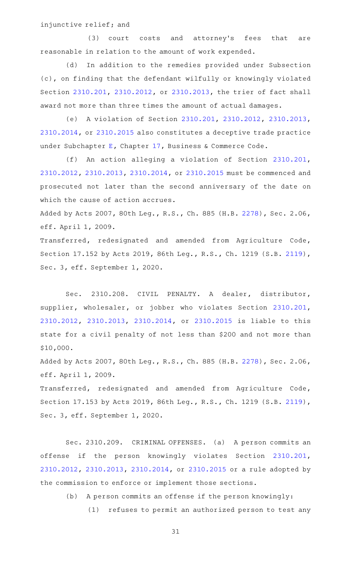injunctive relief; and

(3) court costs and attorney's fees that are reasonable in relation to the amount of work expended.

(d) In addition to the remedies provided under Subsection (c), on finding that the defendant wilfully or knowingly violated Section [2310.201](http://www.statutes.legis.state.tx.us/GetStatute.aspx?Code=OC&Value=2310.201), [2310.2012](http://www.statutes.legis.state.tx.us/GetStatute.aspx?Code=OC&Value=2310.2012), or [2310.2013](http://www.statutes.legis.state.tx.us/GetStatute.aspx?Code=OC&Value=2310.2013), the trier of fact shall award not more than three times the amount of actual damages.

(e) A violation of Section [2310.201,](http://www.statutes.legis.state.tx.us/GetStatute.aspx?Code=OC&Value=2310.201) [2310.2012](http://www.statutes.legis.state.tx.us/GetStatute.aspx?Code=OC&Value=2310.2012), [2310.2013](http://www.statutes.legis.state.tx.us/GetStatute.aspx?Code=OC&Value=2310.2013), [2310.2014,](http://www.statutes.legis.state.tx.us/GetStatute.aspx?Code=OC&Value=2310.2014) or [2310.2015](http://www.statutes.legis.state.tx.us/GetStatute.aspx?Code=OC&Value=2310.2015) also constitutes a deceptive trade practice under Subchapter [E,](http://www.statutes.legis.state.tx.us/GetStatute.aspx?Code=BC&Value=17.41) Chapter [17](http://www.statutes.legis.state.tx.us/GetStatute.aspx?Code=BC&Value=17), Business & Commerce Code.

(f) An action alleging a violation of Section [2310.201](http://www.statutes.legis.state.tx.us/GetStatute.aspx?Code=OC&Value=2310.201), [2310.2012,](http://www.statutes.legis.state.tx.us/GetStatute.aspx?Code=OC&Value=2310.2012) [2310.2013](http://www.statutes.legis.state.tx.us/GetStatute.aspx?Code=OC&Value=2310.2013), [2310.2014](http://www.statutes.legis.state.tx.us/GetStatute.aspx?Code=OC&Value=2310.2014), or [2310.2015](http://www.statutes.legis.state.tx.us/GetStatute.aspx?Code=OC&Value=2310.2015) must be commenced and prosecuted not later than the second anniversary of the date on which the cause of action accrues.

Added by Acts 2007, 80th Leg., R.S., Ch. 885 (H.B. [2278](http://www.legis.state.tx.us/tlodocs/80R/billtext/html/HB02278F.HTM)), Sec. 2.06, eff. April 1, 2009.

Transferred, redesignated and amended from Agriculture Code, Section 17.152 by Acts 2019, 86th Leg., R.S., Ch. 1219 (S.B. [2119\)](http://www.legis.state.tx.us/tlodocs/86R/billtext/html/SB02119F.HTM), Sec. 3, eff. September 1, 2020.

Sec. 2310.208. CIVIL PENALTY. A dealer, distributor, supplier, wholesaler, or jobber who violates Section [2310.201](http://www.statutes.legis.state.tx.us/GetStatute.aspx?Code=OC&Value=2310.201), [2310.2012,](http://www.statutes.legis.state.tx.us/GetStatute.aspx?Code=OC&Value=2310.2012) [2310.2013](http://www.statutes.legis.state.tx.us/GetStatute.aspx?Code=OC&Value=2310.2013), [2310.2014,](http://www.statutes.legis.state.tx.us/GetStatute.aspx?Code=OC&Value=2310.2014) or [2310.2015](http://www.statutes.legis.state.tx.us/GetStatute.aspx?Code=OC&Value=2310.2015) is liable to this state for a civil penalty of not less than \$200 and not more than \$10,000.

Added by Acts 2007, 80th Leg., R.S., Ch. 885 (H.B. [2278](http://www.legis.state.tx.us/tlodocs/80R/billtext/html/HB02278F.HTM)), Sec. 2.06, eff. April 1, 2009.

Transferred, redesignated and amended from Agriculture Code, Section 17.153 by Acts 2019, 86th Leg., R.S., Ch. 1219 (S.B. [2119\)](http://www.legis.state.tx.us/tlodocs/86R/billtext/html/SB02119F.HTM), Sec. 3, eff. September 1, 2020.

Sec. 2310.209. CRIMINAL OFFENSES. (a) A person commits an offense if the person knowingly violates Section [2310.201](http://www.statutes.legis.state.tx.us/GetStatute.aspx?Code=OC&Value=2310.201), [2310.2012,](http://www.statutes.legis.state.tx.us/GetStatute.aspx?Code=OC&Value=2310.2012) [2310.2013,](http://www.statutes.legis.state.tx.us/GetStatute.aspx?Code=OC&Value=2310.2013) [2310.2014](http://www.statutes.legis.state.tx.us/GetStatute.aspx?Code=OC&Value=2310.2014), or [2310.2015](http://www.statutes.legis.state.tx.us/GetStatute.aspx?Code=OC&Value=2310.2015) or a rule adopted by the commission to enforce or implement those sections.

(b) A person commits an offense if the person knowingly:

(1) refuses to permit an authorized person to test any